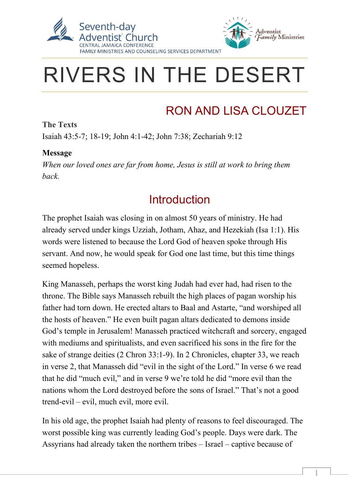



 $\overline{a}$ 

1

# RIVERS IN THE DESERT

# RON AND LISA CLOUZET

**The Texts** Isaiah 43:5-7; 18-19; John 4:1-42; John 7:38; Zechariah 9:12

#### **Message**

*When our loved ones are far from home, Jesus is still at work to bring them back.*

#### **Introduction**

The prophet Isaiah was closing in on almost 50 years of ministry. He had already served under kings Uzziah, Jotham, Ahaz, and Hezekiah (Isa 1:1). His words were listened to because the Lord God of heaven spoke through His servant. And now, he would speak for God one last time, but this time things seemed hopeless.

King Manasseh, perhaps the worst king Judah had ever had, had risen to the throne. The Bible says Manasseh rebuilt the high places of pagan worship his father had torn down. He erected altars to Baal and Astarte, "and worshiped all the hosts of heaven." He even built pagan altars dedicated to demons inside God's temple in Jerusalem! Manasseh practiced witchcraft and sorcery, engaged with mediums and spiritualists, and even sacrificed his sons in the fire for the sake of strange deities (2 Chron 33:1-9). In 2 Chronicles, chapter 33, we reach in verse 2, that Manasseh did "evil in the sight of the Lord." In verse 6 we read that he did "much evil," and in verse 9 we're told he did "more evil than the nations whom the Lord destroyed before the sons of Israel." That's not a good trend-evil – evil, much evil, more evil.

In his old age, the prophet Isaiah had plenty of reasons to feel discouraged. The worst possible king was currently leading God's people. Days were dark. The Assyrians had already taken the northern tribes – Israel – captive because of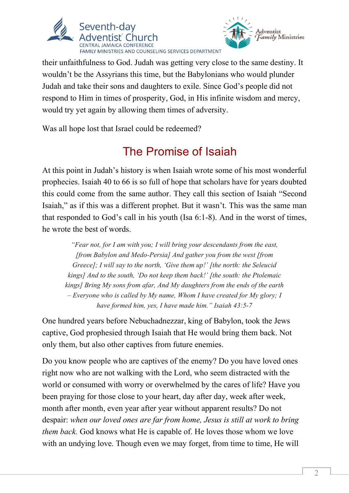



their unfaithfulness to God. Judah was getting very close to the same destiny. It wouldn't be the Assyrians this time, but the Babylonians who would plunder Judah and take their sons and daughters to exile. Since God's people did not respond to Him in times of prosperity, God, in His infinite wisdom and mercy, would try yet again by allowing them times of adversity.

Was all hope lost that Israel could be redeemed?

# The Promise of Isaiah

At this point in Judah's history is when Isaiah wrote some of his most wonderful prophecies. Isaiah 40 to 66 is so full of hope that scholars have for years doubted this could come from the same author. They call this section of Isaiah "Second Isaiah," as if this was a different prophet. But it wasn't. This was the same man that responded to God's call in his youth (Isa 6:1-8). And in the worst of times, he wrote the best of words.

*"Fear not, for I am with you; I will bring your descendants from the east, [from Babylon and Medo-Persia] And gather you from the west [from Greece]; I will say to the north, 'Give them up!' [the north: the Seleucid kings] And to the south, 'Do not keep them back!' [the south: the Ptolemaic kings] Bring My sons from afar, And My daughters from the ends of the earth – Everyone who is called by My name, Whom I have created for My glory; I have formed him, yes, I have made him." Isaiah 43:5-7*

One hundred years before Nebuchadnezzar, king of Babylon, took the Jews captive, God prophesied through Isaiah that He would bring them back. Not only them, but also other captives from future enemies.

Do you know people who are captives of the enemy? Do you have loved ones right now who are not walking with the Lord, who seem distracted with the world or consumed with worry or overwhelmed by the cares of life? Have you been praying for those close to your heart, day after day, week after week, month after month, even year after year without apparent results? Do not despair: *when our loved ones are far from home, Jesus is still at work to bring them back.* God knows what He is capable of. He loves those whom we love with an undying love. Though even we may forget, from time to time, He will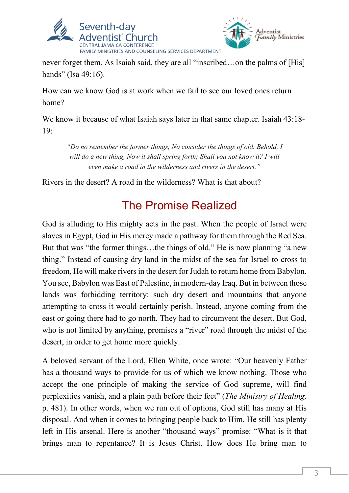



never forget them. As Isaiah said, they are all "inscribed…on the palms of [His] hands" (Isa 49:16).

How can we know God is at work when we fail to see our loved ones return home?

We know it because of what Isaiah says later in that same chapter. Isaiah 43:18-19:

*"Do no remember the former things, No consider the things of old. Behold, I will do a new thing, Now it shall spring forth; Shall you not know it? I will even make a road in the wilderness and rivers in the desert."*

Rivers in the desert? A road in the wilderness? What is that about?

### The Promise Realized

God is alluding to His mighty acts in the past. When the people of Israel were slaves in Egypt, God in His mercy made a pathway for them through the Red Sea. But that was "the former things…the things of old." He is now planning "a new thing." Instead of causing dry land in the midst of the sea for Israel to cross to freedom, He will make rivers in the desert for Judah to return home from Babylon. You see, Babylon was East of Palestine, in modern-day Iraq. But in between those lands was forbidding territory: such dry desert and mountains that anyone attempting to cross it would certainly perish. Instead, anyone coming from the east or going there had to go north. They had to circumvent the desert. But God, who is not limited by anything, promises a "river" road through the midst of the desert, in order to get home more quickly.

A beloved servant of the Lord, Ellen White, once wrote: "Our heavenly Father has a thousand ways to provide for us of which we know nothing. Those who accept the one principle of making the service of God supreme, will find perplexities vanish, and a plain path before their feet" (*The Ministry of Healing,*  p. 481). In other words, when we run out of options, God still has many at His disposal. And when it comes to bringing people back to Him, He still has plenty left in His arsenal. Here is another "thousand ways" promise: "What is it that brings man to repentance? It is Jesus Christ. How does He bring man to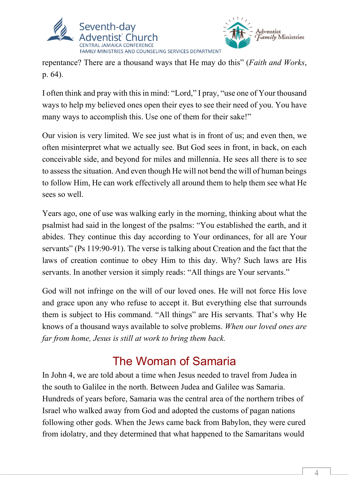



repentance? There are a thousand ways that He may do this" (*Faith and Works*, p. 64).

I often think and pray with this in mind: "Lord," I pray, "use one of Your thousand ways to help my believed ones open their eyes to see their need of you. You have many ways to accomplish this. Use one of them for their sake!"

Our vision is very limited. We see just what is in front of us; and even then, we often misinterpret what we actually see. But God sees in front, in back, on each conceivable side, and beyond for miles and millennia. He sees all there is to see to assess the situation. And even though He will not bend the will of human beings to follow Him, He can work effectively all around them to help them see what He sees so well.

Years ago, one of use was walking early in the morning, thinking about what the psalmist had said in the longest of the psalms: "You established the earth, and it abides. They continue this day according to Your ordinances, for all are Your servants" (Ps 119:90-91). The verse is talking about Creation and the fact that the laws of creation continue to obey Him to this day. Why? Such laws are His servants. In another version it simply reads: "All things are Your servants."

God will not infringe on the will of our loved ones. He will not force His love and grace upon any who refuse to accept it. But everything else that surrounds them is subject to His command. "All things" are His servants. That's why He knows of a thousand ways available to solve problems. *When our loved ones are far from home, Jesus is still at work to bring them back.*

#### The Woman of Samaria

In John 4, we are told about a time when Jesus needed to travel from Judea in the south to Galilee in the north. Between Judea and Galilee was Samaria. Hundreds of years before, Samaria was the central area of the northern tribes of Israel who walked away from God and adopted the customs of pagan nations following other gods. When the Jews came back from Babylon, they were cured from idolatry, and they determined that what happened to the Samaritans would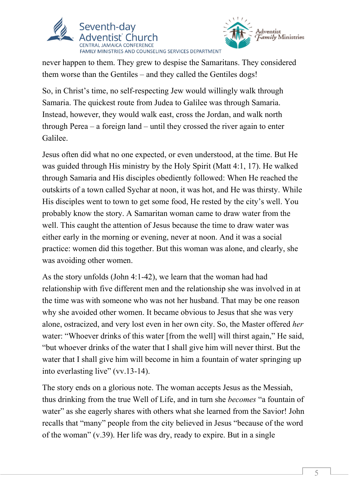



never happen to them. They grew to despise the Samaritans. They considered them worse than the Gentiles – and they called the Gentiles dogs!

So, in Christ's time, no self-respecting Jew would willingly walk through Samaria. The quickest route from Judea to Galilee was through Samaria. Instead, however, they would walk east, cross the Jordan, and walk north through Perea  $-$  a foreign land  $-$  until they crossed the river again to enter Galilee.

Jesus often did what no one expected, or even understood, at the time. But He was guided through His ministry by the Holy Spirit (Matt 4:1, 17). He walked through Samaria and His disciples obediently followed: When He reached the outskirts of a town called Sychar at noon, it was hot, and He was thirsty. While His disciples went to town to get some food, He rested by the city's well. You probably know the story. A Samaritan woman came to draw water from the well. This caught the attention of Jesus because the time to draw water was either early in the morning or evening, never at noon. And it was a social practice: women did this together. But this woman was alone, and clearly, she was avoiding other women.

As the story unfolds (John 4:1-42), we learn that the woman had had relationship with five different men and the relationship she was involved in at the time was with someone who was not her husband. That may be one reason why she avoided other women. It became obvious to Jesus that she was very alone, ostracized, and very lost even in her own city. So, the Master offered *her* water: "Whoever drinks of this water [from the well] will thirst again," He said, "but whoever drinks of the water that I shall give him will never thirst. But the water that I shall give him will become in him a fountain of water springing up into everlasting live" (vv.13-14).

The story ends on a glorious note. The woman accepts Jesus as the Messiah, thus drinking from the true Well of Life, and in turn she *becomes* "a fountain of water" as she eagerly shares with others what she learned from the Savior! John recalls that "many" people from the city believed in Jesus "because of the word of the woman" (v.39). Her life was dry, ready to expire. But in a single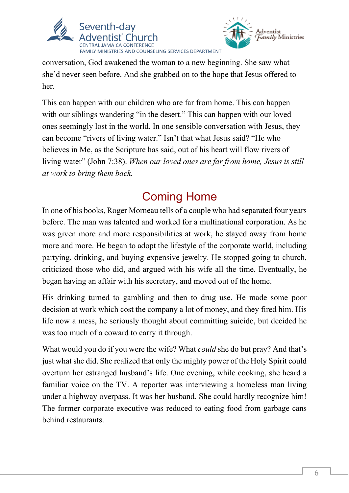



conversation, God awakened the woman to a new beginning. She saw what she'd never seen before. And she grabbed on to the hope that Jesus offered to her.

This can happen with our children who are far from home. This can happen with our siblings wandering "in the desert." This can happen with our loved ones seemingly lost in the world. In one sensible conversation with Jesus, they can become "rivers of living water." Isn't that what Jesus said? "He who believes in Me, as the Scripture has said, out of his heart will flow rivers of living water" (John 7:38). *When our loved ones are far from home, Jesus is still at work to bring them back.*

## Coming Home

In one of his books, Roger Morneau tells of a couple who had separated four years before. The man was talented and worked for a multinational corporation. As he was given more and more responsibilities at work, he stayed away from home more and more. He began to adopt the lifestyle of the corporate world, including partying, drinking, and buying expensive jewelry. He stopped going to church, criticized those who did, and argued with his wife all the time. Eventually, he began having an affair with his secretary, and moved out of the home.

His drinking turned to gambling and then to drug use. He made some poor decision at work which cost the company a lot of money, and they fired him. His life now a mess, he seriously thought about committing suicide, but decided he was too much of a coward to carry it through.

What would you do if you were the wife? What *could* she do but pray? And that's just what she did. She realized that only the mighty power of the Holy Spirit could overturn her estranged husband's life. One evening, while cooking, she heard a familiar voice on the TV. A reporter was interviewing a homeless man living under a highway overpass. It was her husband. She could hardly recognize him! The former corporate executive was reduced to eating food from garbage cans behind restaurants.